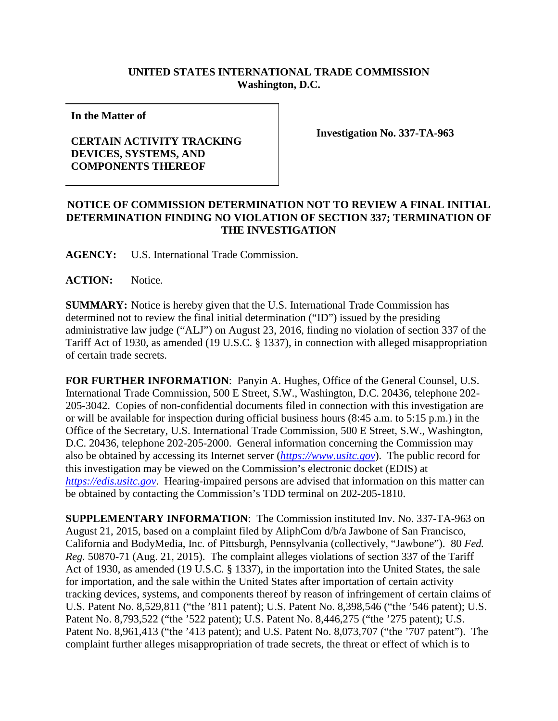## **UNITED STATES INTERNATIONAL TRADE COMMISSION Washington, D.C.**

**In the Matter of**

## **CERTAIN ACTIVITY TRACKING DEVICES, SYSTEMS, AND COMPONENTS THEREOF**

**Investigation No. 337-TA-963**

## **NOTICE OF COMMISSION DETERMINATION NOT TO REVIEW A FINAL INITIAL DETERMINATION FINDING NO VIOLATION OF SECTION 337; TERMINATION OF THE INVESTIGATION**

**AGENCY:** U.S. International Trade Commission.

ACTION: Notice.

**SUMMARY:** Notice is hereby given that the U.S. International Trade Commission has determined not to review the final initial determination ("ID") issued by the presiding administrative law judge ("ALJ") on August 23, 2016, finding no violation of section 337 of the Tariff Act of 1930, as amended (19 U.S.C. § 1337), in connection with alleged misappropriation of certain trade secrets.

**FOR FURTHER INFORMATION**: Panyin A. Hughes, Office of the General Counsel, U.S. International Trade Commission, 500 E Street, S.W., Washington, D.C. 20436, telephone 202- 205-3042. Copies of non-confidential documents filed in connection with this investigation are or will be available for inspection during official business hours (8:45 a.m. to 5:15 p.m.) in the Office of the Secretary, U.S. International Trade Commission, 500 E Street, S.W., Washington, D.C. 20436, telephone 202-205-2000. General information concerning the Commission may also be obtained by accessing its Internet server (*[https://www.usitc.gov](https://www.usitc.gov/)*). The public record for this investigation may be viewed on the Commission's electronic docket (EDIS) at *[https://edis.usitc.gov](https://edis.usitc.gov/)*. Hearing-impaired persons are advised that information on this matter can be obtained by contacting the Commission's TDD terminal on 202-205-1810.

**SUPPLEMENTARY INFORMATION**: The Commission instituted Inv. No. 337-TA-963 on August 21, 2015, based on a complaint filed by AliphCom d/b/a Jawbone of San Francisco, California and BodyMedia, Inc. of Pittsburgh, Pennsylvania (collectively, "Jawbone"). 80 *Fed. Reg.* 50870-71 (Aug. 21, 2015). The complaint alleges violations of section 337 of the Tariff Act of 1930, as amended (19 U.S.C. § 1337), in the importation into the United States, the sale for importation, and the sale within the United States after importation of certain activity tracking devices, systems, and components thereof by reason of infringement of certain claims of U.S. Patent No. 8,529,811 ("the '811 patent); U.S. Patent No. 8,398,546 ("the '546 patent); U.S. Patent No. 8,793,522 ("the '522 patent); U.S. Patent No. 8,446,275 ("the '275 patent); U.S. Patent No. 8,961,413 ("the '413 patent); and U.S. Patent No. 8,073,707 ("the '707 patent"). The complaint further alleges misappropriation of trade secrets, the threat or effect of which is to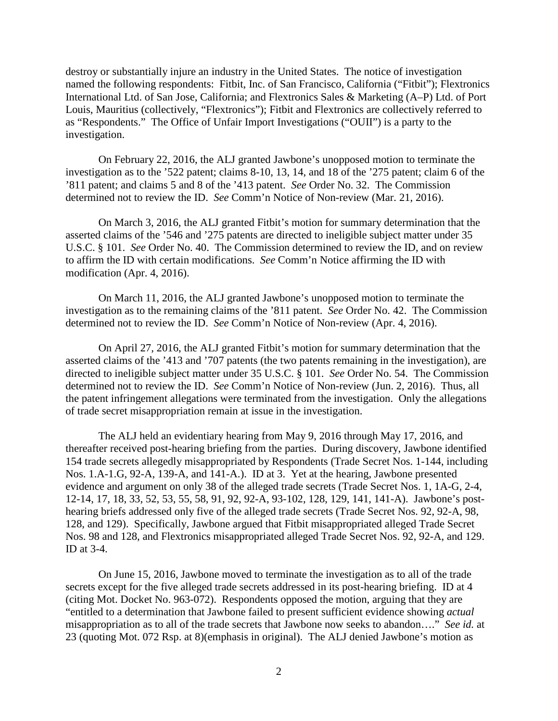destroy or substantially injure an industry in the United States. The notice of investigation named the following respondents: Fitbit, Inc. of San Francisco, California ("Fitbit"); Flextronics International Ltd. of San Jose, California; and Flextronics Sales & Marketing (A–P) Ltd. of Port Louis, Mauritius (collectively, "Flextronics"); Fitbit and Flextronics are collectively referred to as "Respondents." The Office of Unfair Import Investigations ("OUII") is a party to the investigation.

On February 22, 2016, the ALJ granted Jawbone's unopposed motion to terminate the investigation as to the '522 patent; claims 8-10, 13, 14, and 18 of the '275 patent; claim 6 of the '811 patent; and claims 5 and 8 of the '413 patent. *See* Order No. 32. The Commission determined not to review the ID. *See* Comm'n Notice of Non-review (Mar. 21, 2016).

On March 3, 2016, the ALJ granted Fitbit's motion for summary determination that the asserted claims of the '546 and '275 patents are directed to ineligible subject matter under 35 U.S.C. § 101. *See* Order No. 40. The Commission determined to review the ID, and on review to affirm the ID with certain modifications. *See* Comm'n Notice affirming the ID with modification (Apr. 4, 2016).

On March 11, 2016, the ALJ granted Jawbone's unopposed motion to terminate the investigation as to the remaining claims of the '811 patent. *See* Order No. 42. The Commission determined not to review the ID. *See* Comm'n Notice of Non-review (Apr. 4, 2016).

On April 27, 2016, the ALJ granted Fitbit's motion for summary determination that the asserted claims of the '413 and '707 patents (the two patents remaining in the investigation), are directed to ineligible subject matter under 35 U.S.C. § 101. *See* Order No. 54. The Commission determined not to review the ID. *See* Comm'n Notice of Non-review (Jun. 2, 2016). Thus, all the patent infringement allegations were terminated from the investigation. Only the allegations of trade secret misappropriation remain at issue in the investigation.

The ALJ held an evidentiary hearing from May 9, 2016 through May 17, 2016, and thereafter received post-hearing briefing from the parties. During discovery, Jawbone identified 154 trade secrets allegedly misappropriated by Respondents (Trade Secret Nos. 1-144, including Nos. 1.A-1.G, 92-A, 139-A, and 141-A.). ID at 3. Yet at the hearing, Jawbone presented evidence and argument on only 38 of the alleged trade secrets (Trade Secret Nos. 1, 1A-G, 2-4, 12-14, 17, 18, 33, 52, 53, 55, 58, 91, 92, 92-A, 93-102, 128, 129, 141, 141-A). Jawbone's posthearing briefs addressed only five of the alleged trade secrets (Trade Secret Nos. 92, 92-A, 98, 128, and 129). Specifically, Jawbone argued that Fitbit misappropriated alleged Trade Secret Nos. 98 and 128, and Flextronics misappropriated alleged Trade Secret Nos. 92, 92-A, and 129. ID at 3-4.

On June 15, 2016, Jawbone moved to terminate the investigation as to all of the trade secrets except for the five alleged trade secrets addressed in its post-hearing briefing. ID at 4 (citing Mot. Docket No. 963-072). Respondents opposed the motion, arguing that they are "entitled to a determination that Jawbone failed to present sufficient evidence showing *actual* misappropriation as to all of the trade secrets that Jawbone now seeks to abandon…." *See id.* at 23 (quoting Mot. 072 Rsp. at 8)(emphasis in original). The ALJ denied Jawbone's motion as